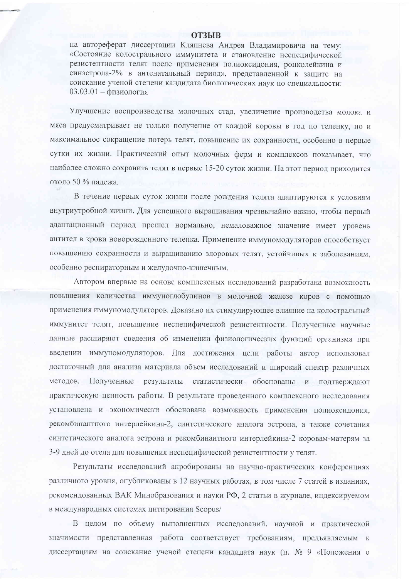## **ОТЗЫВ**

на автореферат диссертации Кляпнева Андрея Владимировича на тему: «Состояние колострального иммунитета и становление неспецифической резистентности телят после применения полиоксидония, ронколейкина и синэстрола-2% в антенатальный период», представленной к защите на соискание ученой степени кандидата биологических наук по специальности:  $03.03.01 - \phi$ изиология

Улучшение воспроизводства молочных стад, увеличение производства молока и мяса предусматривает не только получение от каждой коровы в год по теленку, но и максимальное сокращение потерь телят, повышение их сохранности, особенно в первые сутки их жизни. Практический опыт молочных ферм и комплексов показывает, что наиболее сложно сохранить телят в первые 15-20 суток жизни. На этот период приходится около 50 % палежа.

В течение первых суток жизни после рождения телята адаптируются к условиям внутриутробной жизни. Для успешного выращивания чрезвычайно важно, чтобы первый адаптационный период прошел нормально, немаловажное значение имеет уровень антител в крови новорожденного теленка. Применение иммуномодуляторов способствует повышению сохранности и выращиванию здоровых телят, устойчивых к заболеваниям, особенно респираторным и желудочно-кишечным.

Автором впервые на основе комплексных исследований разработана возможность повышения количества иммуноглобулинов в молочной железе коров с помощью применения иммуномодуляторов. Доказано их стимулирующее влияние на колостральный иммунитет телят, повышение неспецифической резистентности. Полученные научные данные расширяют сведения об изменении физиологических функций организма при введении иммуномодуляторов. Для достижения цели работы автор использовал достаточный для анализа материала объем исследований и широкий спектр различных методов. Полученные результаты статистически обоснованы и подтверждают практическую ценность работы. В результате проведенного комплексного исследования установлена и экономически обоснована возможность применения полиоксидония, рекомбинантного интерлейкина-2, синтетического аналога эстрона, а также сочетания синтетического аналога эстрона и рекомбинантного интерлейкина-2 коровам-матерям за 3-9 дней до отела для повышения неспецифической резистентности у телят.

Результаты исследований апробированы на научно-практических конференциях различного уровня, опубликованы в 12 научных работах, в том числе 7 статей в изданиях, рекомендованных ВАК Минобразования и науки РФ, 2 статьи в журнале, индексируемом в международных системах цитирования Scopus/

В целом по объему выполненных исследований, научной и практической значимости представленная работа соответствует требованиям, предъявляемым к диссертациям на соискание ученой степени кандидата наук (п. № 9 «Положения о